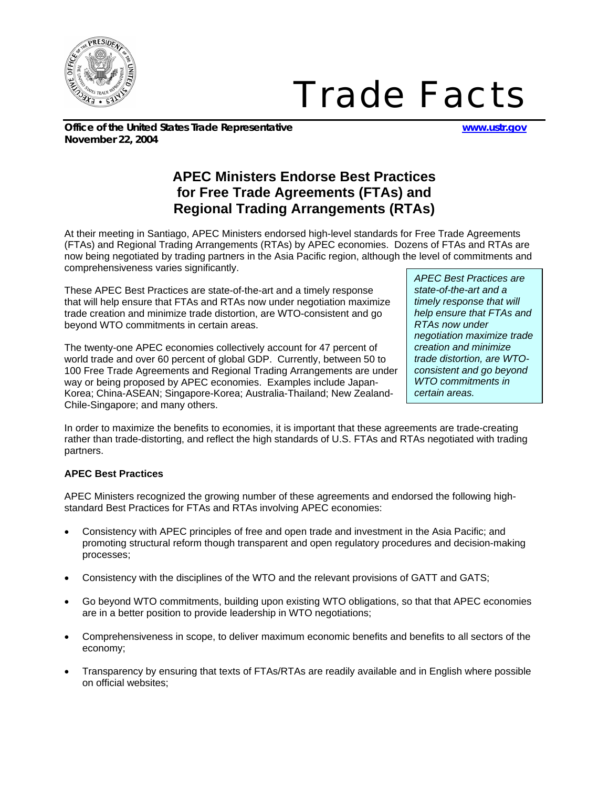

## *Trade Facts*

**Office of the United States Trade Representative www.ustr.gov November 22, 2004**

## **APEC Ministers Endorse Best Practices for Free Trade Agreements (FTAs) and Regional Trading Arrangements (RTAs)**

At their meeting in Santiago, APEC Ministers endorsed high-level standards for Free Trade Agreements (FTAs) and Regional Trading Arrangements (RTAs) by APEC economies. Dozens of FTAs and RTAs are now being negotiated by trading partners in the Asia Pacific region, although the level of commitments and comprehensiveness varies significantly.

These APEC Best Practices are state-of-the-art and a timely response that will help ensure that FTAs and RTAs now under negotiation maximize trade creation and minimize trade distortion, are WTO-consistent and go beyond WTO commitments in certain areas.

The twenty-one APEC economies collectively account for 47 percent of world trade and over 60 percent of global GDP. Currently, between 50 to 100 Free Trade Agreements and Regional Trading Arrangements are under way or being proposed by APEC economies. Examples include Japan-Korea; China-ASEAN; Singapore-Korea; Australia-Thailand; New Zealand-Chile-Singapore; and many others.

*APEC Best Practices are state-of-the-art and a timely response that will help ensure that FTAs and RTAs now under negotiation maximize trade creation and minimize trade distortion, are WTOconsistent and go beyond WTO commitments in certain areas.* 

In order to maximize the benefits to economies, it is important that these agreements are trade-creating rather than trade-distorting, and reflect the high standards of U.S. FTAs and RTAs negotiated with trading partners.

## **APEC Best Practices**

APEC Ministers recognized the growing number of these agreements and endorsed the following highstandard Best Practices for FTAs and RTAs involving APEC economies:

- Consistency with APEC principles of free and open trade and investment in the Asia Pacific; and promoting structural reform though transparent and open regulatory procedures and decision-making processes;
- Consistency with the disciplines of the WTO and the relevant provisions of GATT and GATS;
- Go beyond WTO commitments, building upon existing WTO obligations, so that that APEC economies are in a better position to provide leadership in WTO negotiations;
- Comprehensiveness in scope, to deliver maximum economic benefits and benefits to all sectors of the economy;
- Transparency by ensuring that texts of FTAs/RTAs are readily available and in English where possible on official websites;